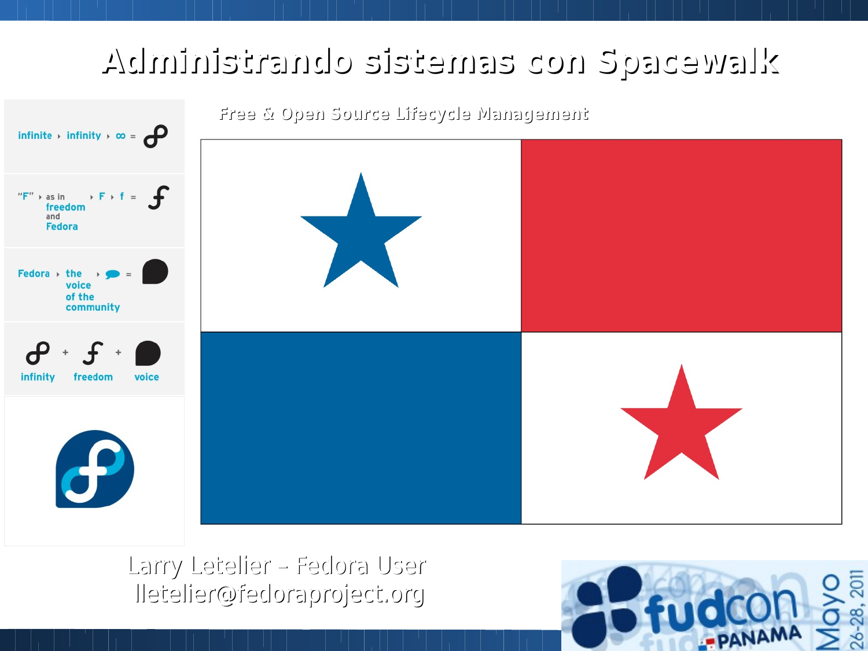#### zlawebaqa nob aanatata obnataininist.



Larry Letelier - Fedora User lletelier@fedoraproject.org

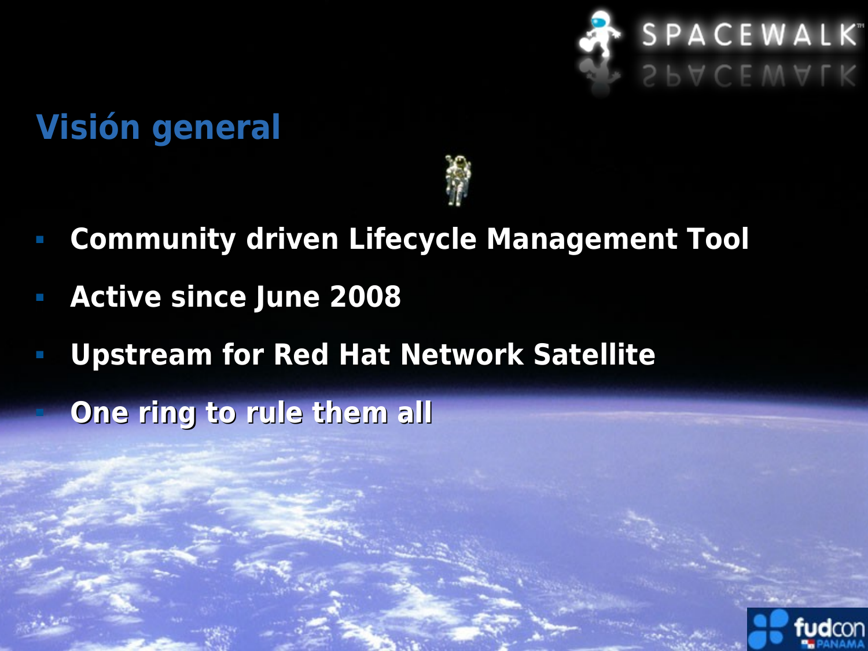

## **Visión general**



- **Community driven Lifecycle Management Tool**
- **Active since June 2008**
- **Upstream for Red Hat Network Satellite**

**One ring to rule them all** 

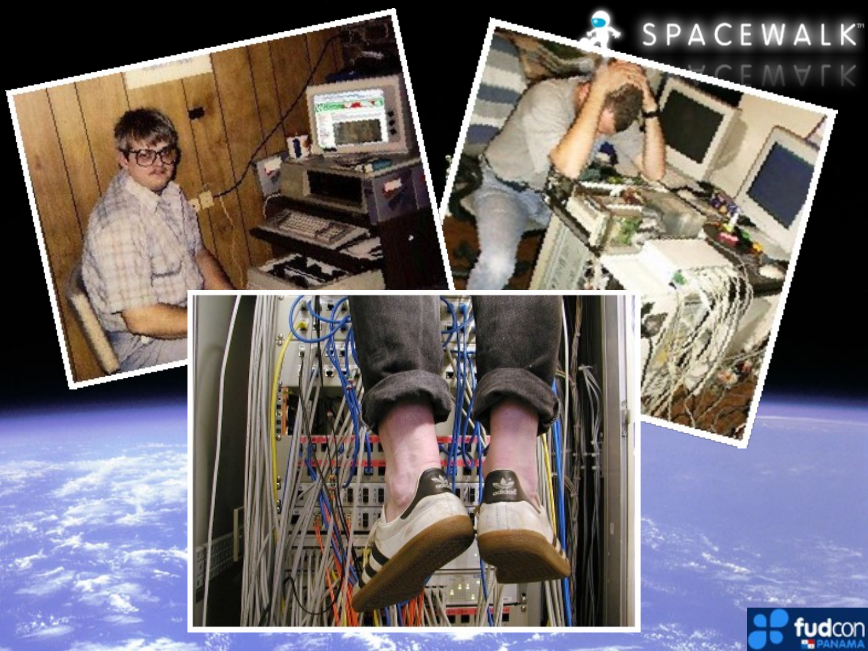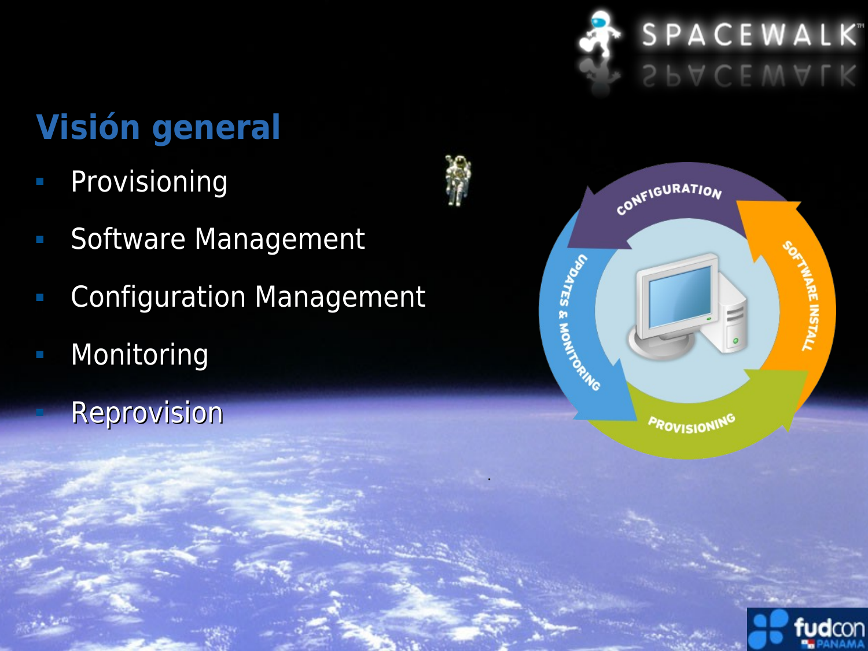

# **Visión general**

- Provisioning
- **Software Management**
- Configuration Management
- **Monitoring** 
	- Reprovision



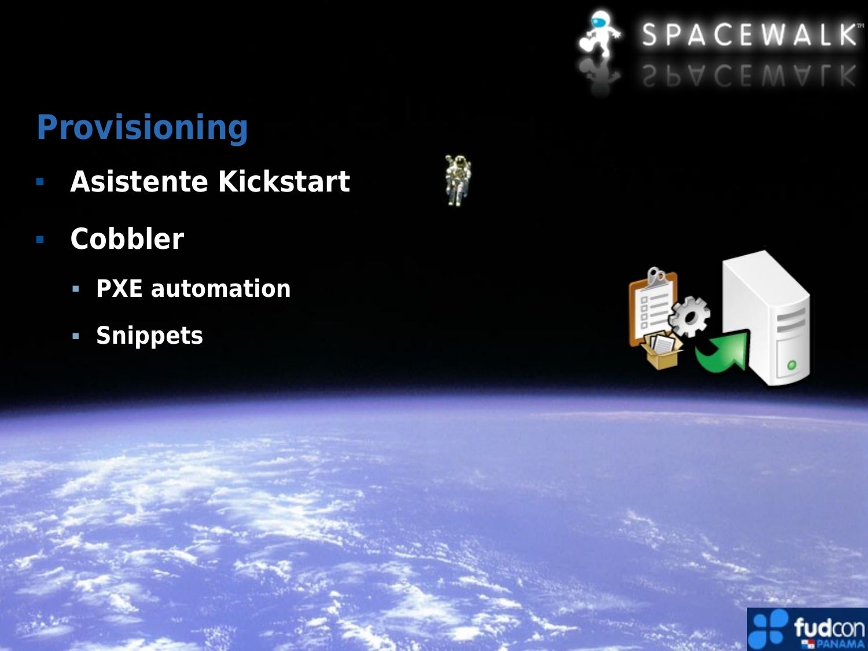

### **Provisioning**

- **Asistente Kickstart**
- **Cobbler**
	- **PXE automation**
	- **Snippets**





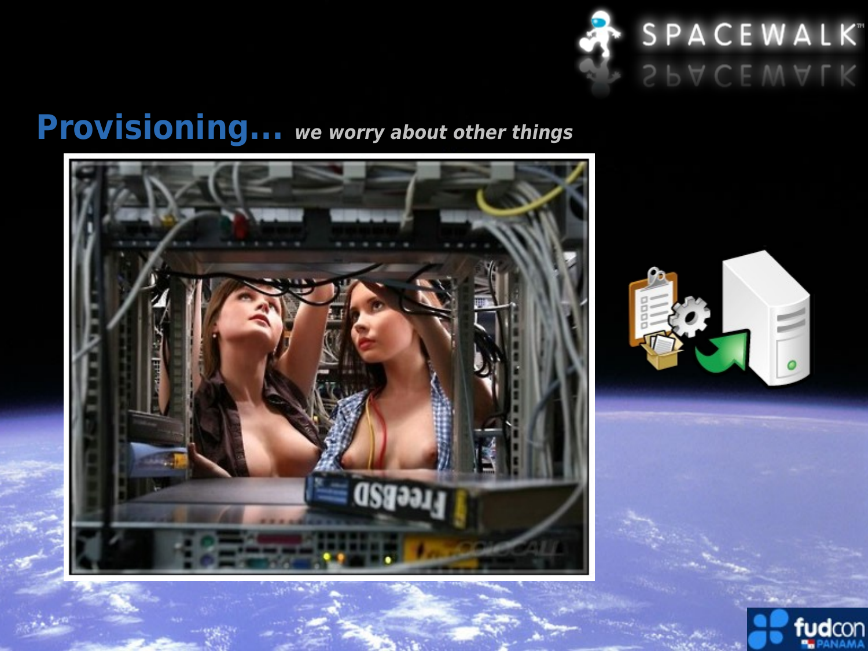

### **Provisioning... we worry about other things**





 $\overline{a}$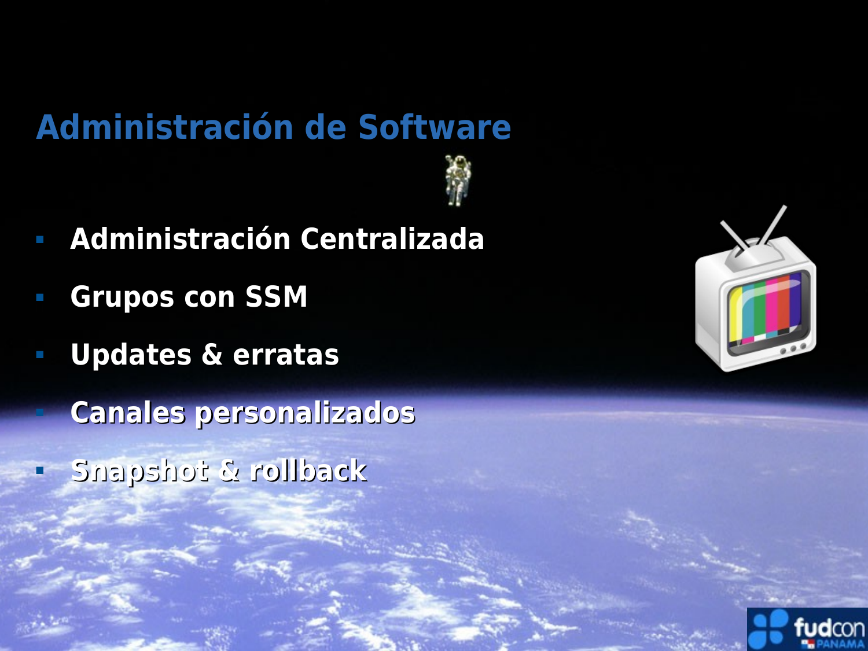#### **Administración de Software**

- **Administración Centralizada**
- **Grupos con SSM**
- **Updates & erratas**

**Canales personalizados** 

**Snapshot & rollback**



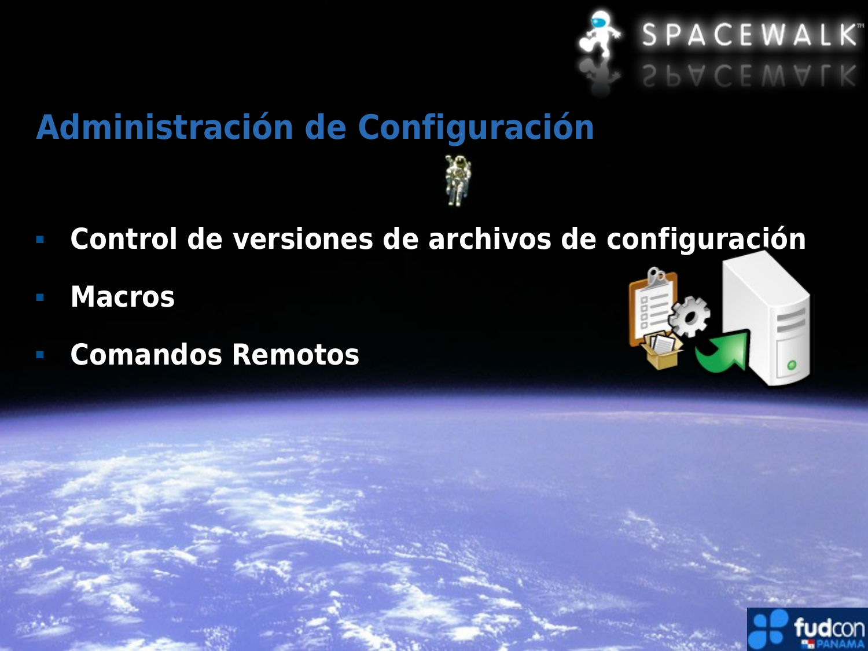

### **Administración de Configuración**

- **Control de versiones de archivos de configuración**
- **Macros**
- **Comandos Remotos**



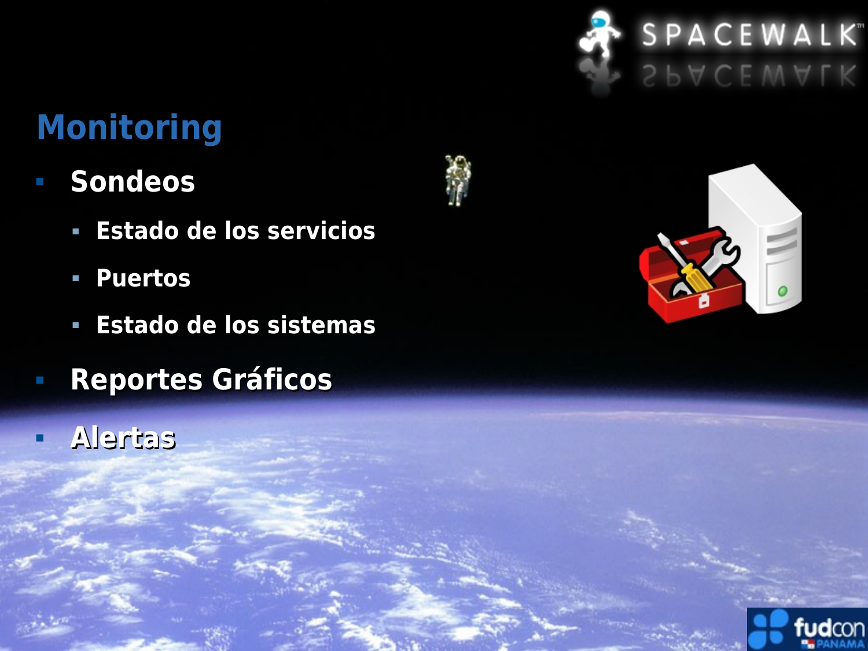

#### **Monitoring**

- **Sondeos**
	- **Estado de los servicios**
	- **Puertos**
	- **Estado de los sistemas**
- **Reportes Gráficos**
- **Alertas**





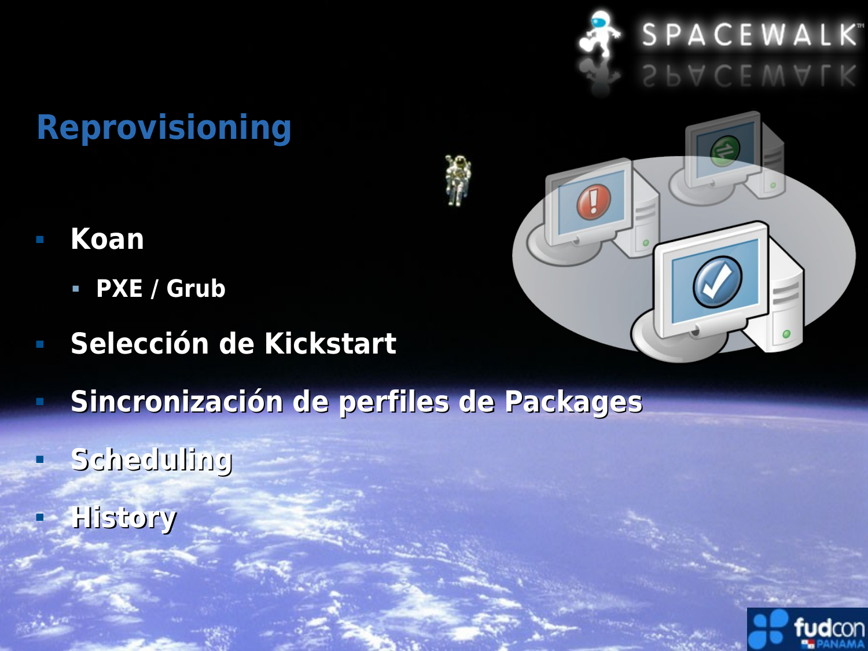

## **Reprovisioning**

- **Koan**
	- **PXE / Grub**
- **Selección de Kickstart**
- **Sincronización de perfiles de Packages**
- **Scheduling**
- **History**



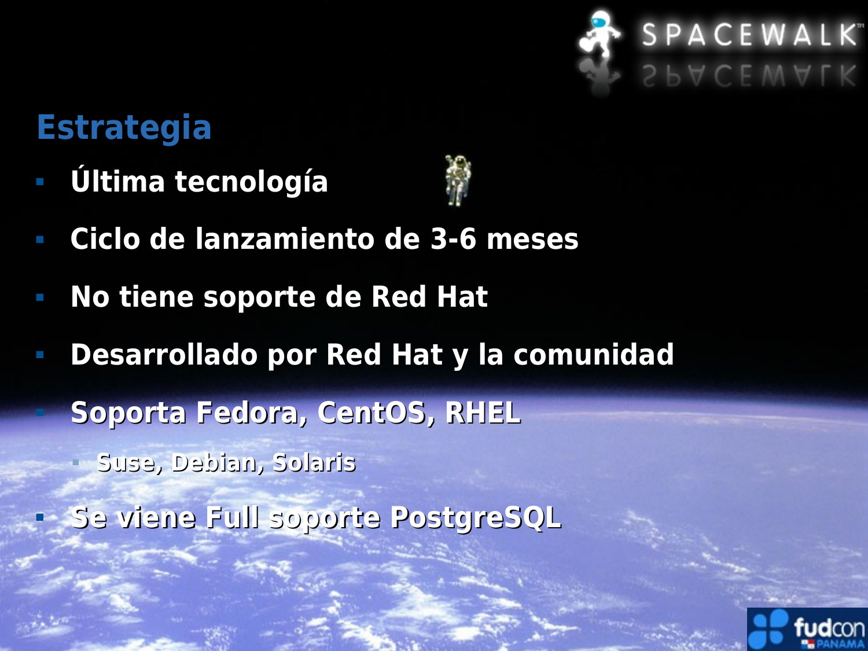

#### **Estrategia**

**Última tecnología**



- **Ciclo de lanzamiento de 3-6 meses**
- **No tiene soporte de Red Hat**
- **Desarrollado por Red Hat y la comunidad**

**Soporta Fedora, CentOS, RHEL**

**Suse, Debian, Solaris**

**Se viene Full soporte PostgreSQL**

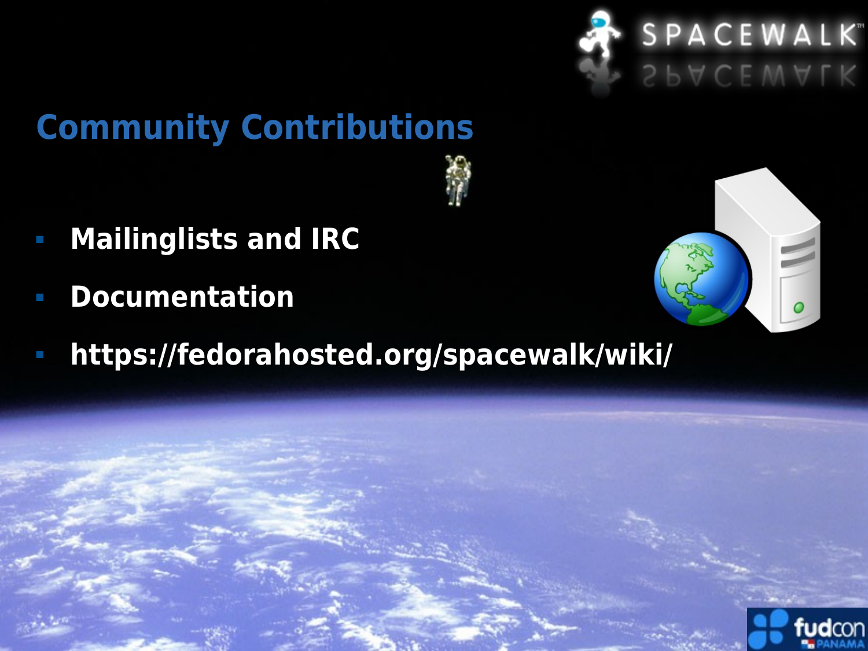

### **Community Contributions**



- **Mailinglists and IRC**
- **Documentation**
- **https://fedorahosted.org/spacewalk/wiki/**



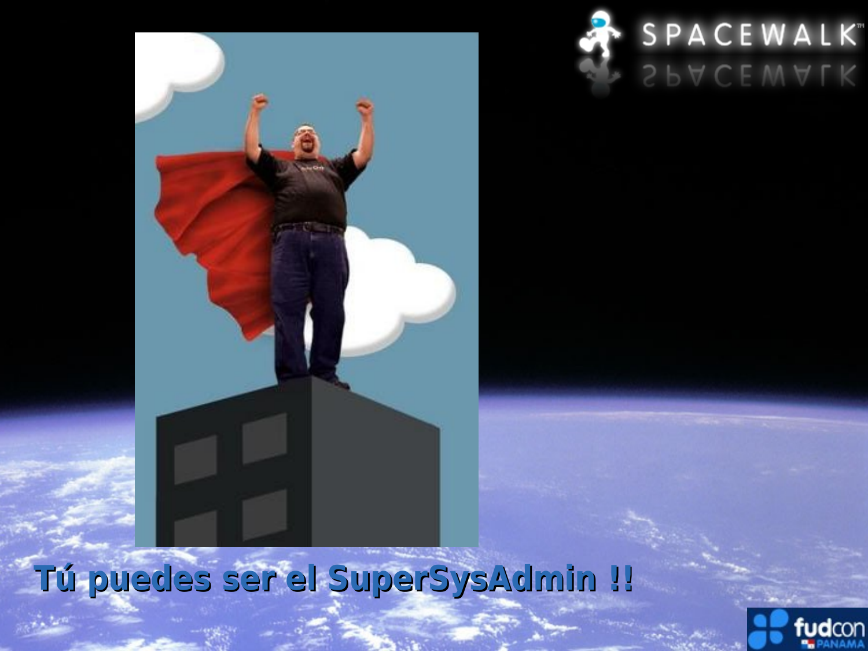

# **Tú puedes ser el SuperSysAdmin !!**

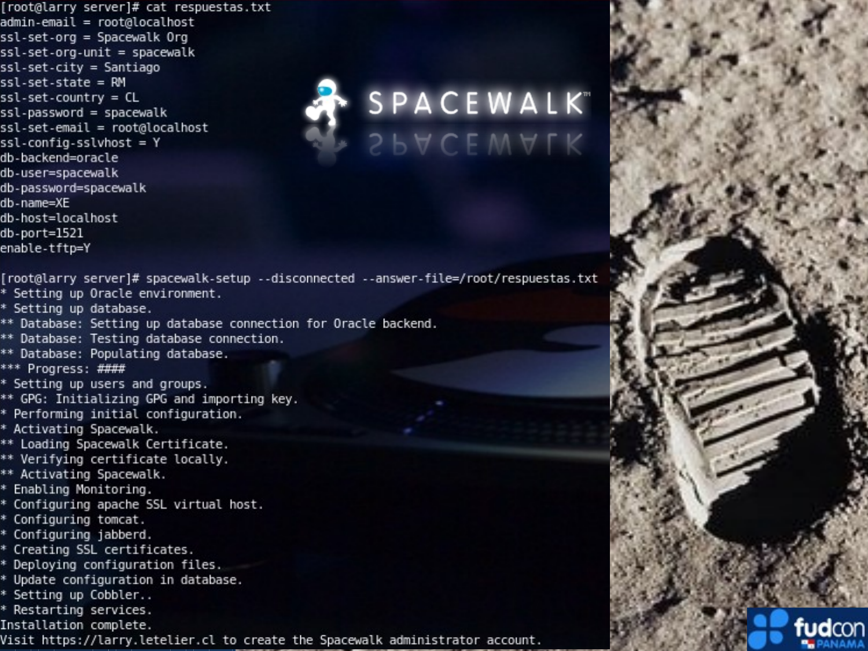[root@larry server]# cat respuestas.txt admin-email = root@localhost ssl-set-org = Spacewalk Org ssl-set-org-unit = spacewalk ssl-set-city = Santiago ssl-set-state = RM ssl-set-country = CL ssl-password = spacewalk ssl-set-email = root@localhost ssl-config-sslvhost = Y db-backend=oracle db-user=spacewalk db-password=spacewalk db-name=XE db-host=localhost db-port=1521 enable-tftp=Y [root@larry server]# spacewalk-setup --disconnected --answer-file=/root/respuestas.txt \* Setting up Oracle environment. \* Setting up database.



\*\* Database: Setting up database connection for Oracle backend. \*\* Database: Testing database connection. \*\* Database: Populating database. \*\*\* Progress: #### \* Setting up users and groups. \*\* GPG: Initializing GPG and importing key. \* Performing initial configuration. \* Activating Spacewalk. \*\* Loading Spacewalk Certificate. \*\* Verifying certificate locally. \*\* Activating Spacewalk. \* Enabling Monitoring. \* Configuring apache SSL virtual host. \* Configuring tomcat.

\* Configuring jabberd.

\* Creating SSL certificates.

\* Deploying configuration files.

\* Update configuration in database.

\* Setting up Cobbler..

\* Restarting services.

Installation complete.

Visit https://larry.letelier.cl to create the Spacewalk administrator account.